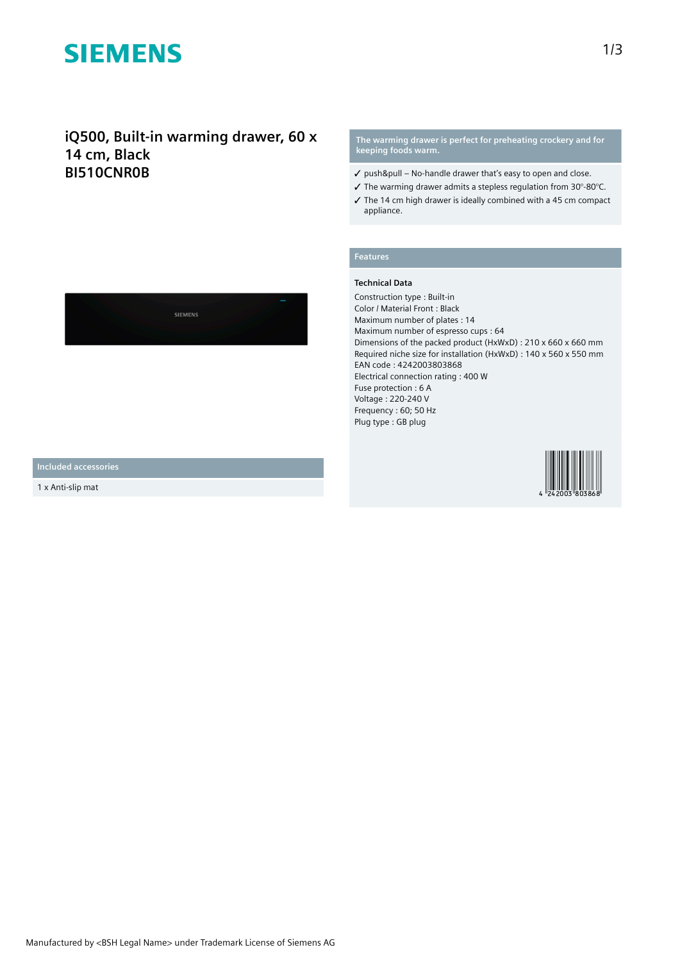# **SIEMENS**

# **iQ500, Built-in warming drawer, 60 x 14 cm, Black BI510CNR0B**

**The warming drawer is perfect for preheating crockery and for keeping foods warm.**

- $\checkmark$  push&pull No-handle drawer that's easy to open and close.
- ✓ The warming drawer admits a stepless regulation from 30°-80°C.
- ✓ The 14 cm high drawer is ideally combined with a 45 cm compact appliance.

### **Features**

#### **Technical Data**

Construction type : Built-in Color / Material Front : Black Maximum number of plates : 14 Maximum number of espresso cups : 64 Dimensions of the packed product (HxWxD) : 210 x 660 x 660 mm Required niche size for installation (HxWxD) : 140 x 560 x 550 mm EAN code : 4242003803868 Electrical connection rating : 400 W Fuse protection : 6 A Voltage : 220-240 V Frequency : 60; 50 Hz Plug type : GB plug



**Included accessories**

1 x Anti-slip mat

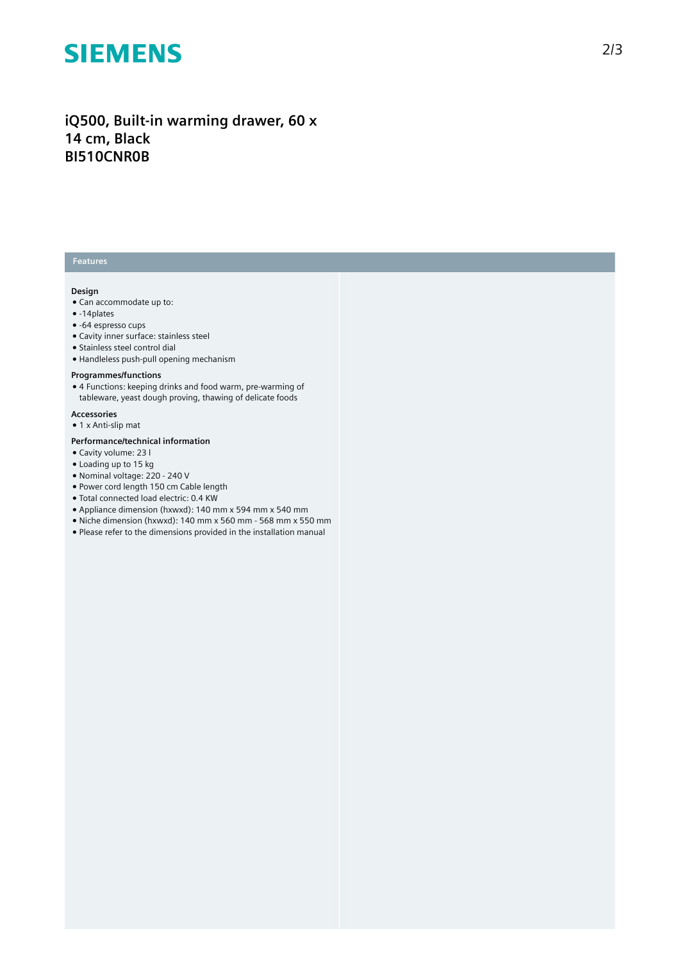# **SIEMENS**

# **iQ500, Built-in warming drawer, 60 x 14 cm, Black BI510CNR0B**

### **Features**

### **Design**

- Can accommodate up to:
- -14plates
- -64 espresso cups ● Cavity inner surface: stainless steel
- Stainless steel control dial
- Handleless push-pull opening mechanism

#### **Programmes/functions**

- 4 Functions: keeping drinks and food warm, pre-warming of
- tableware, yeast dough proving, thawing of delicate foods

## **Accessories**

● 1 x Anti-slip mat

#### **Performance/technical information**

- Cavity volume: 23 l
- Loading up to 15 kg
- Nominal voltage: 220 240 V
- Power cord length 150 cm Cable length
- Total connected load electric: 0.4 KW
- Appliance dimension (hxwxd): 140 mm x 594 mm x 540 mm
- Niche dimension (hxwxd): 140 mm x 560 mm 568 mm x 550 mm
- Please refer to the dimensions provided in the installation manual